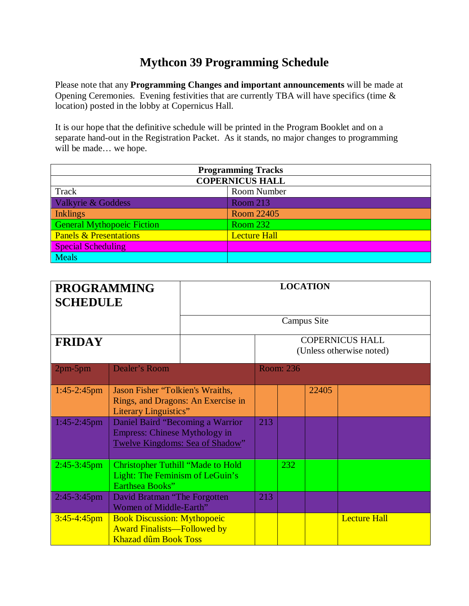## **Mythcon 39 Programming Schedule**

Please note that any **Programming Changes and important announcements** will be made at Opening Ceremonies. Evening festivities that are currently TBA will have specifics (time & location) posted in the lobby at Copernicus Hall.

It is our hope that the definitive schedule will be printed in the Program Booklet and on a separate hand-out in the Registration Packet. As it stands, no major changes to programming will be made… we hope.

| <b>Programming Tracks</b>         |                     |  |  |  |  |
|-----------------------------------|---------------------|--|--|--|--|
| <b>COPERNICUS HALL</b>            |                     |  |  |  |  |
| Track                             | <b>Room Number</b>  |  |  |  |  |
| Valkyrie & Goddess                | <b>Room 213</b>     |  |  |  |  |
| <b>Inklings</b>                   | Room 22405          |  |  |  |  |
| <b>General Mythopoeic Fiction</b> | <b>Room 232</b>     |  |  |  |  |
| <b>Panels &amp; Presentations</b> | <b>Lecture Hall</b> |  |  |  |  |
| <b>Special Scheduling</b>         |                     |  |  |  |  |
| <b>Meals</b>                      |                     |  |  |  |  |

| <b>PROGRAMMING</b><br><b>SCHEDULE</b> |                                                                                                              | <b>LOCATION</b> |                                                    |           |                    |                     |
|---------------------------------------|--------------------------------------------------------------------------------------------------------------|-----------------|----------------------------------------------------|-----------|--------------------|---------------------|
|                                       |                                                                                                              |                 |                                                    |           | <b>Campus Site</b> |                     |
| <b>FRIDAY</b>                         |                                                                                                              |                 | <b>COPERNICUS HALL</b><br>(Unless otherwise noted) |           |                    |                     |
| $2pm-5pm$                             | <b>Dealer's Room</b>                                                                                         |                 |                                                    | Room: 236 |                    |                     |
| $1:45-2:45$ pm                        | Jason Fisher "Tolkien's Wraiths,<br>Rings, and Dragons: An Exercise in<br>Literary Linguistics"              |                 |                                                    |           | 22405              |                     |
| $1:45-2:45$ pm                        | Daniel Baird "Becoming a Warrior"<br><b>Empress: Chinese Mythology in</b><br>Twelve Kingdoms: Sea of Shadow" |                 | 213                                                |           |                    |                     |
| $2:45-3:45$ pm                        | <b>Christopher Tuthill "Made to Hold</b><br>Light: The Feminism of LeGuin's<br>Earthsea Books"               |                 |                                                    | 232       |                    |                     |
| $2:45-3:45$ pm                        | David Bratman "The Forgotten"<br>Women of Middle-Earth"                                                      |                 |                                                    |           |                    |                     |
| $3:45 - 4:45$ pm                      | <b>Book Discussion: Mythopoeic</b><br><b>Award Finalists—Followed by</b><br><b>Khazad dûm Book Toss</b>      |                 |                                                    |           |                    | <b>Lecture Hall</b> |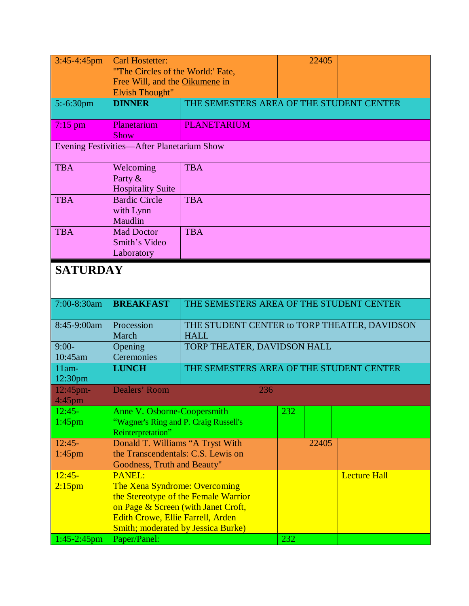| $3:45-4:45$ pm                             | <b>Carl Hostetter:</b><br>"The Circles of the World:' Fate,<br>Free Will, and the Oikumene in |                                                             |     |     | 22405 |                     |  |  |
|--------------------------------------------|-----------------------------------------------------------------------------------------------|-------------------------------------------------------------|-----|-----|-------|---------------------|--|--|
| $5:-6:30$ pm                               | <b>Elvish Thought"</b><br><b>DINNER</b>                                                       |                                                             |     |     |       |                     |  |  |
|                                            |                                                                                               | THE SEMESTERS AREA OF THE STUDENT CENTER                    |     |     |       |                     |  |  |
| $7:15$ pm                                  | Planetarium<br>Show                                                                           | <b>PLANETARIUM</b>                                          |     |     |       |                     |  |  |
| Evening Festivities-After Planetarium Show |                                                                                               |                                                             |     |     |       |                     |  |  |
| <b>TBA</b>                                 | Welcoming<br>Party &<br><b>Hospitality Suite</b>                                              | <b>TBA</b>                                                  |     |     |       |                     |  |  |
| <b>TBA</b>                                 | <b>Bardic Circle</b><br>with Lynn<br>Maudlin                                                  | <b>TBA</b>                                                  |     |     |       |                     |  |  |
| <b>TBA</b>                                 | <b>Mad Doctor</b><br>Smith's Video<br>Laboratory                                              | <b>TBA</b>                                                  |     |     |       |                     |  |  |
| <b>SATURDAY</b>                            |                                                                                               |                                                             |     |     |       |                     |  |  |
| 7:00-8:30am                                | <b>BREAKFAST</b>                                                                              | THE SEMESTERS AREA OF THE STUDENT CENTER                    |     |     |       |                     |  |  |
| 8:45-9:00am                                | Procession<br>March                                                                           | THE STUDENT CENTER to TORP THEATER, DAVIDSON<br><b>HALL</b> |     |     |       |                     |  |  |
| $9:00-$<br>10:45am                         | Opening<br>Ceremonies                                                                         | TORP THEATER, DAVIDSON HALL                                 |     |     |       |                     |  |  |
| $11am-$<br>12:30 <sub>pm</sub>             | <b>LUNCH</b>                                                                                  | THE SEMESTERS AREA OF THE STUDENT CENTER                    |     |     |       |                     |  |  |
| $12:45$ pm-<br>$4:45$ pm                   | Dealers' Room                                                                                 |                                                             | 236 |     |       |                     |  |  |
| $12:45-$<br>$1:45$ pm                      | Anne V. Osborne-Coopersmith<br>"Wagner's Ring and P. Craig Russell's<br>Reinterpretation"     |                                                             |     | 232 |       |                     |  |  |
| $12:45-$                                   | Donald T. Williams "A Tryst With                                                              |                                                             |     |     | 22405 |                     |  |  |
| $1:45$ pm                                  | the Transcendentals: C.S. Lewis on<br>Goodness, Truth and Beauty"                             |                                                             |     |     |       |                     |  |  |
| $12:45-$                                   | <b>PANEL:</b>                                                                                 |                                                             |     |     |       | <b>Lecture Hall</b> |  |  |
| 2:15 <sub>pm</sub>                         | <b>The Xena Syndrome: Overcoming</b>                                                          | the Stereotype of the Female Warrior                        |     |     |       |                     |  |  |
|                                            | on Page & Screen (with Janet Croft,                                                           |                                                             |     |     |       |                     |  |  |
|                                            | <b>Edith Crowe, Ellie Farrell, Arden</b>                                                      |                                                             |     |     |       |                     |  |  |
| $1:45-2:45$ pm                             | <b>Smith; moderated by Jessica Burke)</b><br>Paper/Panel:                                     |                                                             |     | 232 |       |                     |  |  |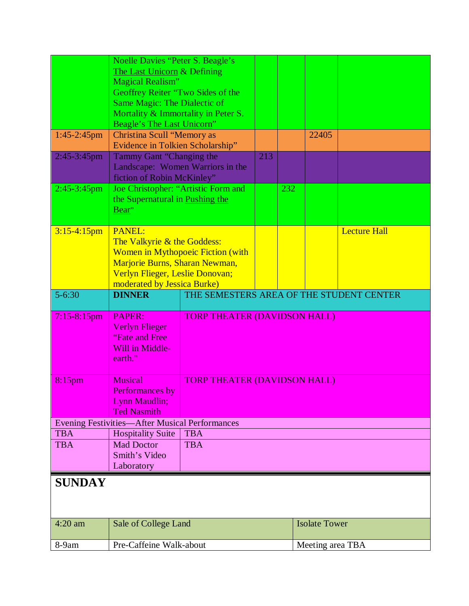| $1:45-2:45$ pm<br>2:45-3:45pm | <b>Noelle Davies "Peter S. Beagle's</b><br>The Last Unicorn & Defining<br><b>Magical Realism"</b><br>Geoffrey Reiter "Two Sides of the<br><b>Same Magic: The Dialectic of</b><br>Mortality & Immortality in Peter S.<br>Beagle's The Last Unicorn"<br><b>Christina Scull "Memory as</b><br>Evidence in Tolkien Scholarship"<br>Tammy Gant "Changing the<br>213<br>Landscape: Women Warriors in the<br>fiction of Robin McKinley" |                                          |  |     | 22405                |                     |
|-------------------------------|----------------------------------------------------------------------------------------------------------------------------------------------------------------------------------------------------------------------------------------------------------------------------------------------------------------------------------------------------------------------------------------------------------------------------------|------------------------------------------|--|-----|----------------------|---------------------|
| $2:45-3:45$ pm                | Joe Christopher: "Artistic Form and<br>the Supernatural in Pushing the<br>Bear"                                                                                                                                                                                                                                                                                                                                                  |                                          |  | 232 |                      |                     |
| $3:15-4:15$ pm                | <b>PANEL:</b><br>The Valkyrie & the Goddess:<br>Women in Mythopoeic Fiction (with<br>Marjorie Burns, Sharan Newman,<br>Verlyn Flieger, Leslie Donovan;<br>moderated by Jessica Burke)                                                                                                                                                                                                                                            |                                          |  |     |                      | <b>Lecture Hall</b> |
| $5 - 6:30$                    | <b>DINNER</b>                                                                                                                                                                                                                                                                                                                                                                                                                    | THE SEMESTERS AREA OF THE STUDENT CENTER |  |     |                      |                     |
| $7:15-8:15$ pm                | PAPER:<br><b>Verlyn Flieger</b><br>"Fate and Free"<br>Will in Middle-<br>earth."                                                                                                                                                                                                                                                                                                                                                 | <b>TORP THEATER (DAVIDSON HALL)</b>      |  |     |                      |                     |
| $8:15$ pm                     | <b>Musical</b><br>Performances by<br>Lynn Maudlin;<br><b>Ted Nasmith</b>                                                                                                                                                                                                                                                                                                                                                         | <b>TORP THEATER (DAVIDSON HALL)</b>      |  |     |                      |                     |
|                               | <b>Evening Festivities—After Musical Performances</b>                                                                                                                                                                                                                                                                                                                                                                            |                                          |  |     |                      |                     |
| <b>TBA</b><br><b>TBA</b>      | <b>Hospitality Suite</b><br><b>Mad Doctor</b><br>Smith's Video<br>Laboratory                                                                                                                                                                                                                                                                                                                                                     | <b>TBA</b><br><b>TBA</b>                 |  |     |                      |                     |
| <b>SUNDAY</b>                 |                                                                                                                                                                                                                                                                                                                                                                                                                                  |                                          |  |     |                      |                     |
| $4:20$ am                     | Sale of College Land                                                                                                                                                                                                                                                                                                                                                                                                             |                                          |  |     | <b>Isolate Tower</b> |                     |
| 8-9am                         | Pre-Caffeine Walk-about                                                                                                                                                                                                                                                                                                                                                                                                          |                                          |  |     | Meeting area TBA     |                     |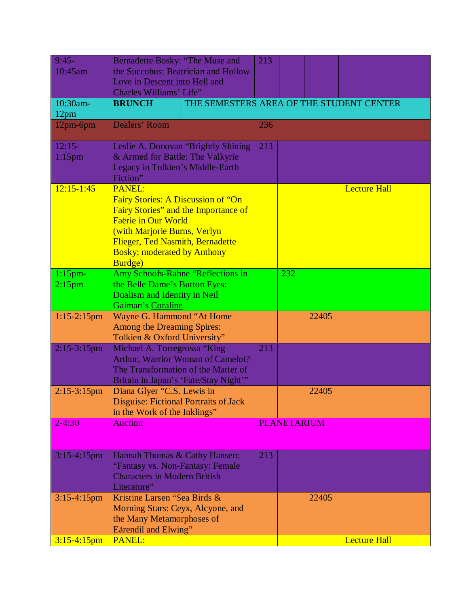| $9:45-$<br>10:45am           | Bernadette Bosky: "The Muse and<br>the Succubus: Beatrician and Hollow                                                                                                                          |                                                                                                                   | 213 |                    |       |                     |
|------------------------------|-------------------------------------------------------------------------------------------------------------------------------------------------------------------------------------------------|-------------------------------------------------------------------------------------------------------------------|-----|--------------------|-------|---------------------|
|                              | Love in Descent into Hell and<br><b>Charles Williams' Life"</b>                                                                                                                                 |                                                                                                                   |     |                    |       |                     |
| 10:30am-<br>12 <sub>pm</sub> | <b>BRUNCH</b>                                                                                                                                                                                   | THE SEMESTERS AREA OF THE STUDENT CENTER                                                                          |     |                    |       |                     |
| 12pm-6pm                     | Dealers' Room                                                                                                                                                                                   |                                                                                                                   | 236 |                    |       |                     |
| $12:15-$<br>$1:15$ pm        | & Armed for Battle: The Valkyrie<br>Legacy in Tolkien's Middle-Earth<br>Fiction"                                                                                                                | Leslie A. Donovan "Brightly Shining                                                                               | 213 |                    |       |                     |
| $12:15 - 1:45$               | <b>PANEL:</b><br>Fairy Stories: A Discussion of "On<br>Faërie in Our World<br>(with Marjorie Burns, Verlyn<br>Flieger, Ted Nasmith, Bernadette<br><b>Bosky; moderated by Anthony</b><br>Burdge) | Fairy Stories" and the Importance of                                                                              |     |                    |       | <b>Lecture Hall</b> |
| $1:15$ pm-<br>$2:15$ pm      | the Belle Dame's Button Eyes:<br>Dualism and Identity in Neil<br>Gaiman's Coraline                                                                                                              | Amy Schoofs-Rahne "Reflections in                                                                                 |     | 232                |       |                     |
| $1:15-2:15$ pm               | Wayne G. Hammond "At Home<br><b>Among the Dreaming Spires:</b><br>Tolkien & Oxford University"                                                                                                  |                                                                                                                   |     |                    | 22405 |                     |
| $2:15-3:15$ pm               | Michael A. Torregrossa "King                                                                                                                                                                    | Arthur, Warrior Woman of Camelot?<br>The Transformation of the Matter of<br>Britain in Japan's 'Fate/Stay Night'" | 213 |                    |       |                     |
| $2:15-3:15$ pm               | Diana Glyer "C.S. Lewis in<br>Disguise: Fictional Portraits of Jack<br>in the Work of the Inklings"                                                                                             |                                                                                                                   |     |                    | 22405 |                     |
| $2 - 4:30$                   | <b>Auction</b>                                                                                                                                                                                  |                                                                                                                   |     | <b>PLANETARIUM</b> |       |                     |
| $3:15-4:15$ pm               | Hannah Thomas & Cathy Hansen:<br>"Fantasy vs. Non-Fantasy: Female<br><b>Characters in Modern British</b><br>Literature"                                                                         |                                                                                                                   | 213 |                    |       |                     |
| $3:15-4:15$ pm               | Kristine Larsen "Sea Birds &<br>Morning Stars: Ceyx, Alcyone, and<br>the Many Metamorphoses of<br>Eärendil and Elwing"                                                                          |                                                                                                                   |     |                    | 22405 |                     |
| $3:15-4:15$ pm               | <b>PANEL:</b>                                                                                                                                                                                   |                                                                                                                   |     |                    |       | <b>Lecture Hall</b> |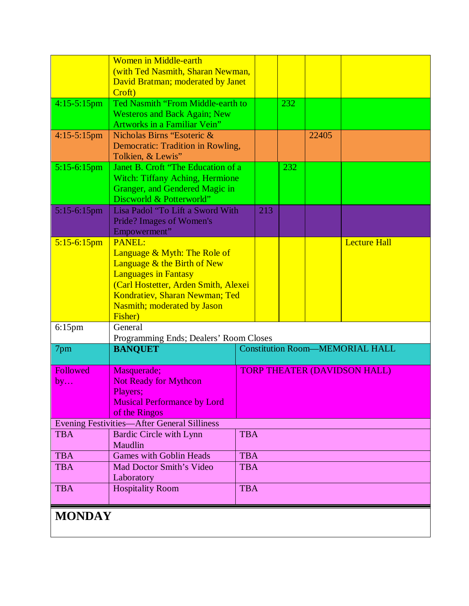|                | <b>Women in Middle-earth</b><br>(with Ted Nasmith, Sharan Newman,<br>David Bratman; moderated by Janet                                                                                                                                 |                                        |  |     |       |                     |
|----------------|----------------------------------------------------------------------------------------------------------------------------------------------------------------------------------------------------------------------------------------|----------------------------------------|--|-----|-------|---------------------|
|                | Croft)                                                                                                                                                                                                                                 |                                        |  |     |       |                     |
| $4:15-5:15$ pm | Ted Nasmith "From Middle-earth to<br><b>Westeros and Back Again; New</b><br><b>Artworks in a Familiar Vein"</b>                                                                                                                        |                                        |  | 232 |       |                     |
| $4:15-5:15$ pm | Nicholas Birns "Esoteric &<br>Democratic: Tradition in Rowling,<br>Tolkien, & Lewis"                                                                                                                                                   |                                        |  |     | 22405 |                     |
| $5:15-6:15$ pm | Janet B. Croft "The Education of a<br><b>Witch: Tiffany Aching, Hermione</b><br>Granger, and Gendered Magic in<br>Discworld & Potterworld"                                                                                             |                                        |  | 232 |       |                     |
| $5:15-6:15$ pm | Lisa Padol "To Lift a Sword With<br><b>Pride?</b> Images of Women's<br>Empowerment"                                                                                                                                                    |                                        |  |     |       |                     |
| $5:15-6:15$ pm | <b>PANEL:</b><br>Language & Myth: The Role of<br>Language & the Birth of New<br><b>Languages in Fantasy</b><br>(Carl Hostetter, Arden Smith, Alexei<br>Kondratiev, Sharan Newman; Ted<br><b>Nasmith; moderated by Jason</b><br>Fisher) |                                        |  |     |       | <b>Lecture Hall</b> |
| $6:15$ pm      | General<br>Programming Ends; Dealers' Room Closes                                                                                                                                                                                      |                                        |  |     |       |                     |
| 7pm            | <b>BANQUET</b>                                                                                                                                                                                                                         | <b>Constitution Room-MEMORIAL HALL</b> |  |     |       |                     |
| Followed<br>by | Masquerade;<br><b>Not Ready for Mythcon</b><br>Players;<br><b>Musical Performance by Lord</b><br>of the Ringos                                                                                                                         | <b>TORP THEATER (DAVIDSON HALL)</b>    |  |     |       |                     |
|                | <b>Evening Festivities-After General Silliness</b>                                                                                                                                                                                     |                                        |  |     |       |                     |
| <b>TBA</b>     | <b>Bardic Circle with Lynn</b><br>Maudlin                                                                                                                                                                                              | <b>TBA</b>                             |  |     |       |                     |
| <b>TBA</b>     | <b>Games with Goblin Heads</b>                                                                                                                                                                                                         | <b>TBA</b>                             |  |     |       |                     |
| <b>TBA</b>     | Mad Doctor Smith's Video<br>Laboratory                                                                                                                                                                                                 | <b>TBA</b>                             |  |     |       |                     |
| <b>TBA</b>     | <b>Hospitality Room</b>                                                                                                                                                                                                                | <b>TBA</b>                             |  |     |       |                     |
| <b>MONDAY</b>  |                                                                                                                                                                                                                                        |                                        |  |     |       |                     |